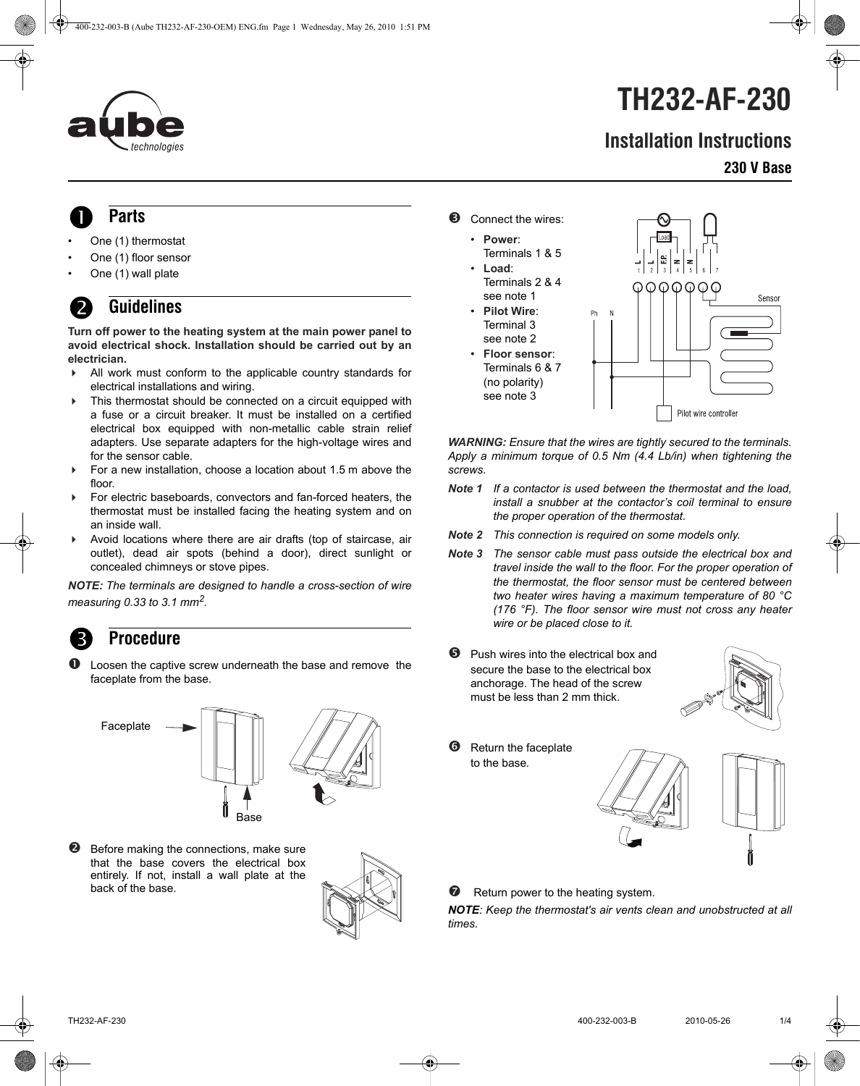

# **TH232-AF-230**

### **Installation Instructions**

### **230 V Base**

## **Parts** 1.

- One (1) thermostat
- One (1) floor sensor
- One (1) wall plate

### **Guidelines** 2.

**Turn off power to the heating system at the main power panel to avoid electrical shock. Installation should be carried out by an electrician.**

- All work must conform to the applicable country standards for electrical installations and wiring.
- $\triangleright$  This thermostat should be connected on a circuit equipped with a fuse or a circuit breaker. It must be installed on a certified electrical box equipped with non-metallic cable strain relief adapters. Use separate adapters for the high-voltage wires and for the sensor cable.
- For a new installation, choose a location about 1.5 m above the floor.
- For electric baseboards, convectors and fan-forced heaters, the thermostat must be installed facing the heating system and on an inside wall.
- Avoid locations where there are air drafts (top of staircase, air outlet), dead air spots (behind a door), direct sunlight or concealed chimneys or stove pipes.

*NOTE: The terminals are designed to handle a cross-section of wire measuring 0.33 to 3.1 mm2.*

## **Procedure** 3. **Procedure**

 Loosen the captive screw underneath the base and remove the faceplate from the base.



 Before making the connections, make sure that the base covers the electrical box entirely. If not, install a wall plate at the back of the base.



- **B** Connect the wires:
	- **Power**: Terminals 1 & 5
	- **Load**: Terminals 2 & 4
	- see note 1 • **Pilot Wire**: Terminal 3 see note 2
	- **Floor sensor**: Terminals 6 & 7 (no polarity) see note 3



*WARNING: Ensure that the wires are tightly secured to the terminals. Apply a minimum torque of 0.5 Nm (4.4 Lb/in) when tightening the screws.*

- *Note 1 If a contactor is used between the thermostat and the load, install a snubber at the contactor's coil terminal to ensure the proper operation of the thermostat.*
- *Note 2 This connection is required on some models only.*
- *Note 3 The sensor cable must pass outside the electrical box and travel inside the wall to the floor. For the proper operation of the thermostat, the floor sensor must be centered between two heater wires having a maximum temperature of 80 °C (176 °F). The floor sensor wire must not cross any heater wire or be placed close to it.*
- **9** Push wires into the electrical box and secure the base to the electrical box anchorage. The head of the screw must be less than 2 mm thick.



**6** Return the faceplate to the base*.*



 $\bullet$  Return power to the heating system.

*NOTE: Keep the thermostat's air vents clean and unobstructed at all times.*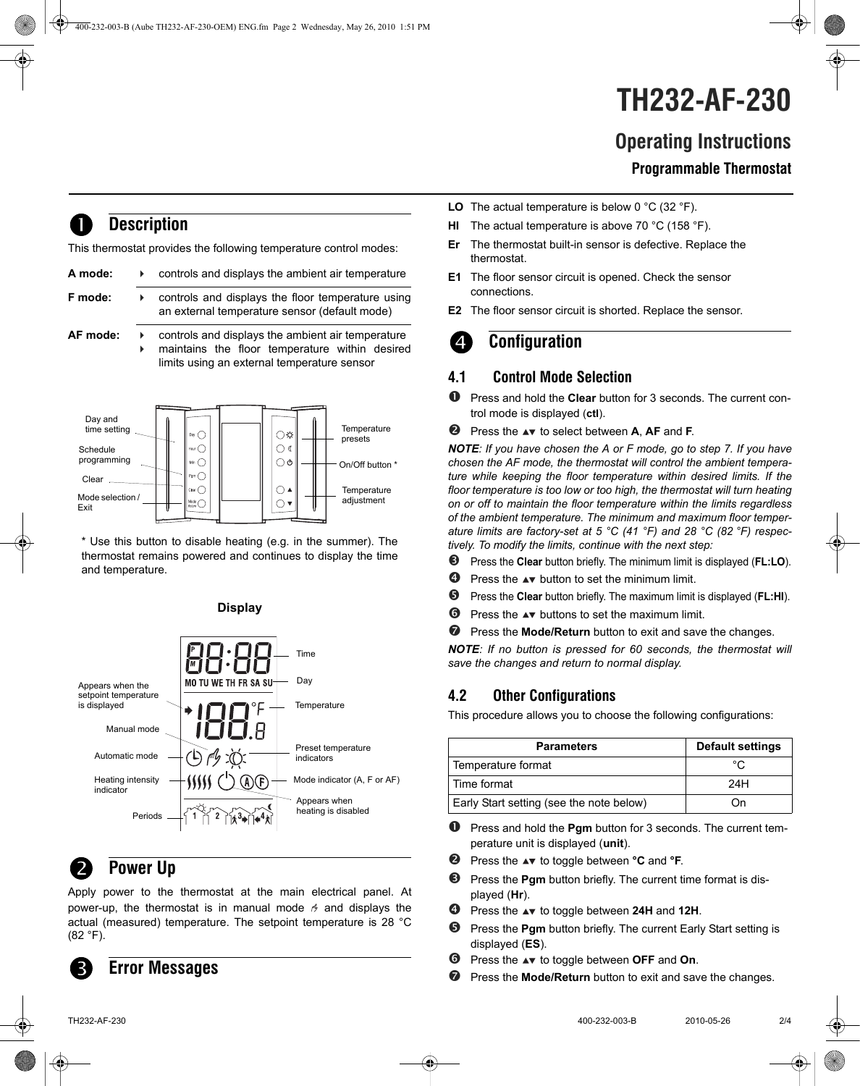# **TH232-AF-230**

### **Operating Instructions**

#### **Programmable Thermostat**

### **Description**

This thermostat provides the following temperature control modes:

| A mode:  | controls and displays the ambient air temperature                                                                                                  |  |
|----------|----------------------------------------------------------------------------------------------------------------------------------------------------|--|
| F mode:  | controls and displays the floor temperature using<br>an external temperature sensor (default mode)                                                 |  |
| AF mode: | controls and displays the ambient air temperature<br>maintains the floor temperature within desired<br>limits using an external temperature sensor |  |



\* Use this button to disable heating (e.g. in the summer). The thermostat remains powered and continues to display the time and temperature.



### **Power Up**

Apply power to the thermostat at the main electrical panel. At power-up, the thermostat is in manual mode  $\beta$  and displays the actual (measured) temperature. The setpoint temperature is 28 °C (82 °F).

### **Error Messages**

- **LO** The actual temperature is below 0 °C (32 °F).
- **HI** The actual temperature is above 70 °C (158 °F).
- **Er** The thermostat built-in sensor is defective. Replace the thermostat.
- **E1** The floor sensor circuit is opened. Check the sensor connections.
- **E2** The floor sensor circuit is shorted. Replace the sensor.

### **Configuration**

### **4.1 Control Mode Selection**

- Press and hold the **Clear** button for 3 seconds. The current control mode is displayed (**ctl**).
- **2** Press the  $\blacktriangle$  to select between **A**, **AF** and **F**.

*NOTE: If you have chosen the A or F mode, go to step 7. If you have chosen the AF mode, the thermostat will control the ambient temperature while keeping the floor temperature within desired limits. If the floor temperature is too low or too high, the thermostat will turn heating on or off to maintain the floor temperature within the limits regardless of the ambient temperature. The minimum and maximum floor temperature limits are factory-set at 5 °C (41 °F) and 28 °C (82 °F) respectively. To modify the limits, continue with the next step:*

- Press the **Clear** button briefly. The minimum limit is displayed (**FL:LO**).
- **P** Press the  $\triangle$  button to set the minimum limit.
- Press the **Clear** button briefly. The maximum limit is displayed (**FL:HI**).
- $\bullet$  Press the  $\bullet\mathbf{v}$  buttons to set the maximum limit.
- **P** Press the **Mode/Return** button to exit and save the changes.

*NOTE: If no button is pressed for 60 seconds, the thermostat will save the changes and return to normal display.*

### **4.2 Other Configurations**

This procedure allows you to choose the following configurations:

| <b>Parameters</b>                        | <b>Default settings</b> |
|------------------------------------------|-------------------------|
| Temperature format                       | $^{\circ}$ C            |
| Time format                              | 24H                     |
| Early Start setting (see the note below) | ( )n                    |

- **P** Press and hold the **Pgm** button for 3 seconds. The current temperature unit is displayed (**unit**).
- **2** Press the  $\triangle$  to toggle between  ${}^{\circ}$ **C** and  ${}^{\circ}$ **F**.
- $\Theta$  Press the **Pgm** button briefly. The current time format is displayed (**Hr**).
- Press the to toggle between **24H** and **12H**.
- **9** Press the **Pgm** button briefly. The current Early Start setting is displayed (**ES**).
- **O** Press the  $\blacktriangle$  to toggle between **OFF** and **On**.
- **P** Press the **Mode/Return** button to exit and save the changes.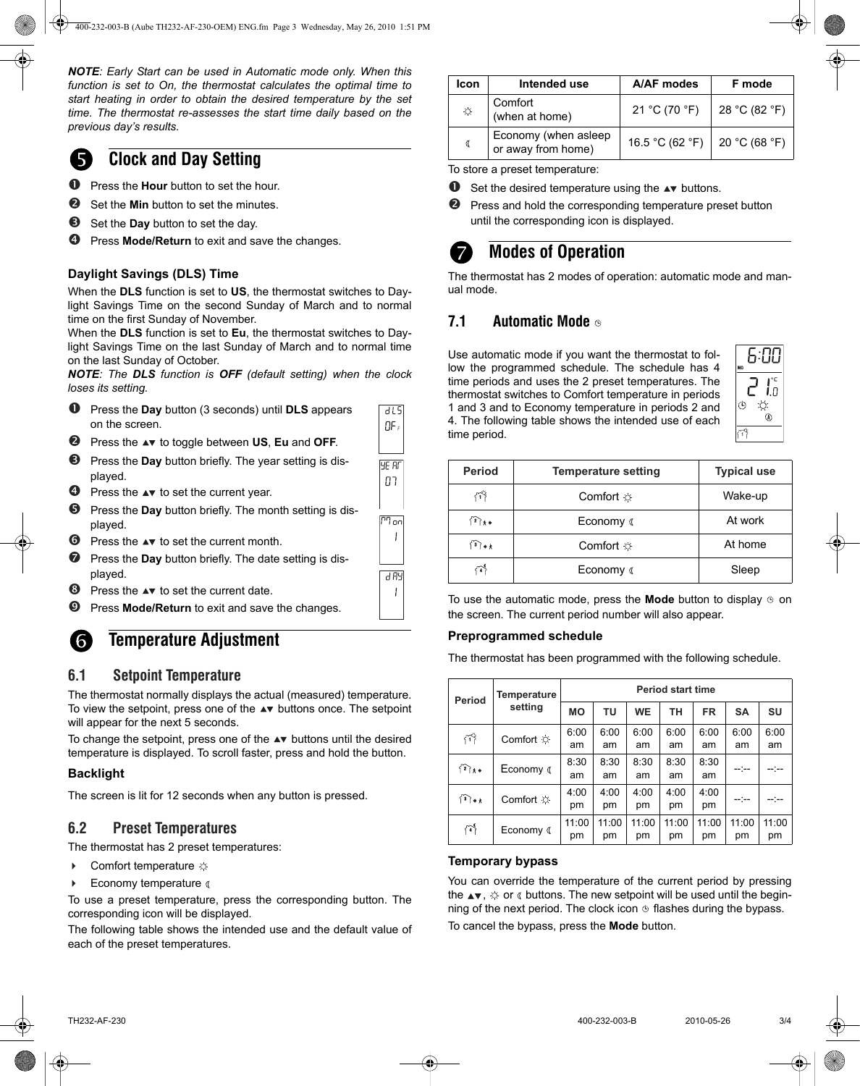*NOTE: Early Start can be used in Automatic mode only. When this function is set to On, the thermostat calculates the optimal time to start heating in order to obtain the desired temperature by the set time. The thermostat re-assesses the start time daily based on the previous day's results.* 



### **Clock and Day Setting**

- Press the **Hour** button to set the hour.
- Set the **Min** button to set the minutes.
- Set the **Day** button to set the day.
- Press **Mode/Return** to exit and save the changes.

#### **Daylight Savings (DLS) Time**

When the **DLS** function is set to **US**, the thermostat switches to Daylight Savings Time on the second Sunday of March and to normal time on the first Sunday of November.

When the **DLS** function is set to **Eu**, the thermostat switches to Daylight Savings Time on the last Sunday of March and to normal time on the last Sunday of October.

*NOTE: The DLS function is OFF (default setting) when the clock loses its setting.*

| $\mathbf 0$      | Press the Day button (3 seconds) until DLS appears                       | d L SI      |
|------------------|--------------------------------------------------------------------------|-------------|
|                  | on the screen.                                                           | O۴,         |
| ❷                | Press the $\rightarrow \infty$ to toggle between US, Eu and OFF.         |             |
| ❸                | Press the <b>Day</b> button briefly. The year setting is dis-<br>played. | 4F RF<br>רח |
| ❹                | Press the $\blacktriangle\blacktriangledown$ to set the current year.    |             |
| ❺                | Press the Day button briefly. The month setting is dis-<br>played.       | הם ריי      |
| $\bullet$        | Press the $\blacktriangle$ to set the current month.                     |             |
| ❼                | Press the <b>Day</b> button briefly. The date setting is dis-<br>played. | 884 A       |
| ❸                | Press the $\blacktriangle$ to set the current date.                      |             |
| $\boldsymbol{0}$ | Press <b>Mode/Return</b> to exit and save the changes.                   |             |

### **6.** Temperature Adjustment

#### **6.1 Setpoint Temperature**

The thermostat normally displays the actual (measured) temperature. To view the setpoint, press one of the  $\blacktriangle\blacktriangledown$  buttons once. The setpoint will appear for the next 5 seconds.

To change the setpoint, press one of the  $\blacktriangle\blacktriangledown$  buttons until the desired temperature is displayed. To scroll faster, press and hold the button.

#### **Backlight**

The screen is lit for 12 seconds when any button is pressed.

#### **6.2 Preset Temperatures**

The thermostat has 2 preset temperatures:

- $\triangleright$  Comfort temperature  $\varnothing$
- $\blacktriangleright$  Economy temperature  $\triangleleft$

To use a preset temperature, press the corresponding button. The corresponding icon will be displayed.

The following table shows the intended use and the default value of each of the preset temperatures.

| Icon       | Intended use                               | A/AF modes                      | F mode        |
|------------|--------------------------------------------|---------------------------------|---------------|
| $\bigcirc$ | Comfort<br>(when at home)                  | 21 °C (70 °F)                   | 28 °C (82 °F) |
| ₫          | Economy (when asleep<br>or away from home) | 16.5 °C (62 °F)   20 °C (68 °F) |               |

To store a preset temperature:

- $\bullet$  Set the desired temperature using the  $\bullet\bullet$  buttons.
- **2** Press and hold the corresponding temperature preset button until the corresponding icon is displayed.

### **Modes of Operation**

The thermostat has 2 modes of operation: automatic mode and manual mode.

#### **7.1 Automatic Mode**

Use automatic mode if you want the thermostat to follow the programmed schedule. The schedule has 4 time periods and uses the 2 preset temperatures. The thermostat switches to Comfort temperature in periods 1 and 3 and to Economy temperature in periods 2 and 4. The following table shows the intended use of each time period.



| <b>Period</b>     | <b>Temperature setting</b> | <b>Typical use</b> |  |  |
|-------------------|----------------------------|--------------------|--|--|
|                   | Comfort $\varnothing$      | Wake-up            |  |  |
| $\mathbb{R}_{++}$ | Economy (                  | At work            |  |  |
| $\mathbf{1}$      | Comfort $\infty$           | At home            |  |  |
|                   | Economy (                  | Sleep              |  |  |

To use the automatic mode, press the **Mode** button to display  $\circledcirc$  on the screen. The current period number will also appear.

#### **Preprogrammed schedule**

The thermostat has been programmed with the following schedule.

| <b>Period</b> | Temperature<br>setting | <b>Period start time</b> |       |           |       |           |           |           |
|---------------|------------------------|--------------------------|-------|-----------|-------|-----------|-----------|-----------|
|               |                        | <b>MO</b>                | TU    | <b>WE</b> | ΤН    | <b>FR</b> | <b>SA</b> | <b>SU</b> |
| ናች            | Comfort $\oslash$      | 6:00                     | 6:00  | 6:00      | 6:00  | 6:00      | 6:00      | 6:00      |
|               |                        | am                       | am    | am        | am    | am        | am        | am        |
| $\{2\}_{\pi}$ | Economy (              | 8:30                     | 8:30  | 8:30      | 8:30  | 8:30      |           |           |
|               |                        | am                       | am    | am        | am    | am        |           |           |
| $\mathbf{a}$  | Comfort $\alpha$       | 4:00                     | 4:00  | 4:00      | 4:00  | 4:00      | --:--     |           |
|               |                        | pm                       | pm    | pm        | pm    | рm        |           |           |
| 仟             | Economy (              | 11:00                    | 11:00 | 11:00     | 11:00 | 11:00     | 11:00     | 11:00     |
|               |                        | pm                       | pm    | pm        | pm    | pm        | pm        | pm        |

#### **Temporary bypass**

You can override the temperature of the current period by pressing the  $\blacktriangle$   $\blacktriangledown$ ,  $\varnothing$  or  $\varnothing$  buttons. The new setpoint will be used until the beginning of the next period. The clock icon  $\mathfrak b$  flashes during the bypass.

To cancel the bypass, press the **Mode** button.